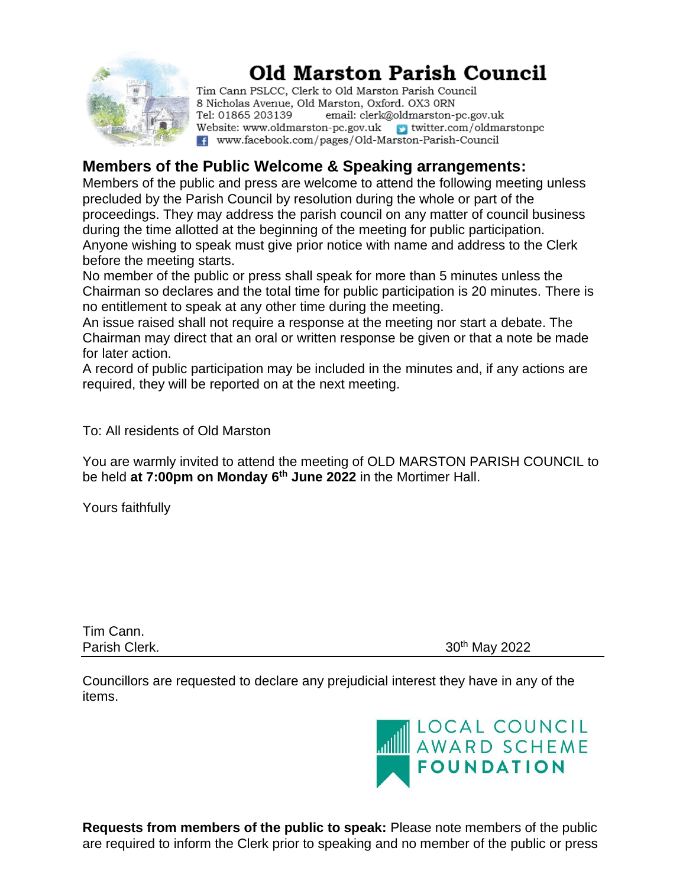

# **Old Marston Parish Council**

Tim Cann PSLCC, Clerk to Old Marston Parish Council 8 Nicholas Avenue, Old Marston, Oxford. OX3 ORN Tel: 01865 203139 email: clerk@oldmarston-pc.gov.uk Website: www.oldmarston-pc.gov.uk  $\rightarrow$  twitter.com/oldmarstonpc f www.facebook.com/pages/Old-Marston-Parish-Council

### **Members of the Public Welcome & Speaking arrangements:**

Members of the public and press are welcome to attend the following meeting unless precluded by the Parish Council by resolution during the whole or part of the proceedings. They may address the parish council on any matter of council business during the time allotted at the beginning of the meeting for public participation. Anyone wishing to speak must give prior notice with name and address to the Clerk before the meeting starts.

No member of the public or press shall speak for more than 5 minutes unless the Chairman so declares and the total time for public participation is 20 minutes. There is no entitlement to speak at any other time during the meeting.

An issue raised shall not require a response at the meeting nor start a debate. The Chairman may direct that an oral or written response be given or that a note be made for later action.

A record of public participation may be included in the minutes and, if any actions are required, they will be reported on at the next meeting.

To: All residents of Old Marston

You are warmly invited to attend the meeting of OLD MARSTON PARISH COUNCIL to be held **at 7:00pm on Monday 6 th June 2022** in the Mortimer Hall.

Yours faithfully

Tim Cann.

Parish Clerk. 2022

Councillors are requested to declare any prejudicial interest they have in any of the items.



**Requests from members of the public to speak:** Please note members of the public are required to inform the Clerk prior to speaking and no member of the public or press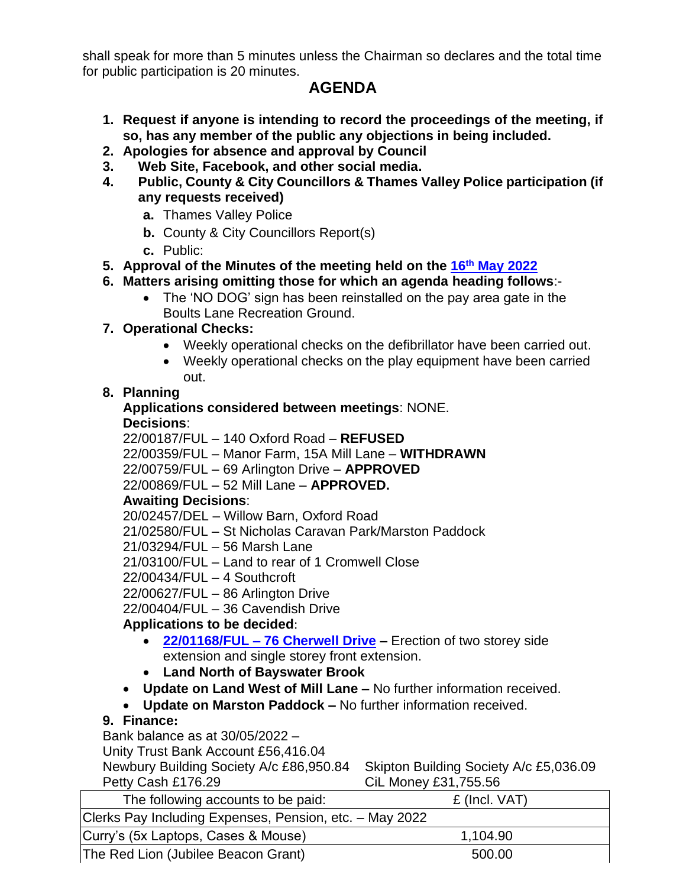shall speak for more than 5 minutes unless the Chairman so declares and the total time for public participation is 20 minutes.

# **AGENDA**

- **1. Request if anyone is intending to record the proceedings of the meeting, if so, has any member of the public any objections in being included.**
- **2. Apologies for absence and approval by Council**
- **3. Web Site, Facebook, and other social media.**
- **4. Public, County & City Councillors & Thames Valley Police participation (if any requests received)**
	- **a.** Thames Valley Police
	- **b.** County & City Councillors Report(s)
	- **c.** Public:
- **5. Approval of the Minutes of the meeting held on the 16th May 2022**
- **6. Matters arising omitting those for which an agenda heading follows**:-
	- The 'NO DOG' sign has been reinstalled on the pay area gate in the Boults Lane Recreation Ground.
- **7. Operational Checks:**
	- Weekly operational checks on the defibrillator have been carried out.
	- Weekly operational checks on the play equipment have been carried out.

### **8. Planning**

#### **Applications considered between meetings**: NONE. **Decisions**:

22/00187/FUL – 140 Oxford Road – **REFUSED**

22/00359/FUL – Manor Farm, 15A Mill Lane – **WITHDRAWN**

22/00759/FUL – 69 Arlington Drive – **APPROVED**

22/00869/FUL – 52 Mill Lane – **APPROVED.**

### **Awaiting Decisions**:

20/02457/DEL – Willow Barn, Oxford Road

21/02580/FUL – St Nicholas Caravan Park/Marston Paddock

21/03294/FUL – 56 Marsh Lane

21/03100/FUL – Land to rear of 1 Cromwell Close

22/00434/FUL – 4 Southcroft

22/00627/FUL – 86 Arlington Drive

22/00404/FUL – 36 Cavendish Drive

## **Applications to be decided**:

- **22/01168/FUL – 76 Cherwell Drive –** Erection of two storey side extension and single storey front extension.
- **Land North of Bayswater Brook**
- **Update on Land West of Mill Lane –** No further information received.
- **Update on Marston Paddock –** No further information received.

### **9. Finance:**

Bank balance as at 30/05/2022 –

Unity Trust Bank Account £56,416.04

Newbury Building Society A/c £86,950.84 Skipton Building Society A/c £5,036.09 Petty Cash £176.29 CiL Money £31,755.56

| The following accounts to be paid:                      | £ (Incl. VAT) |
|---------------------------------------------------------|---------------|
| Clerks Pay Including Expenses, Pension, etc. - May 2022 |               |
| Curry's (5x Laptops, Cases & Mouse)                     | 1,104.90      |
| The Red Lion (Jubilee Beacon Grant)                     | 500.00        |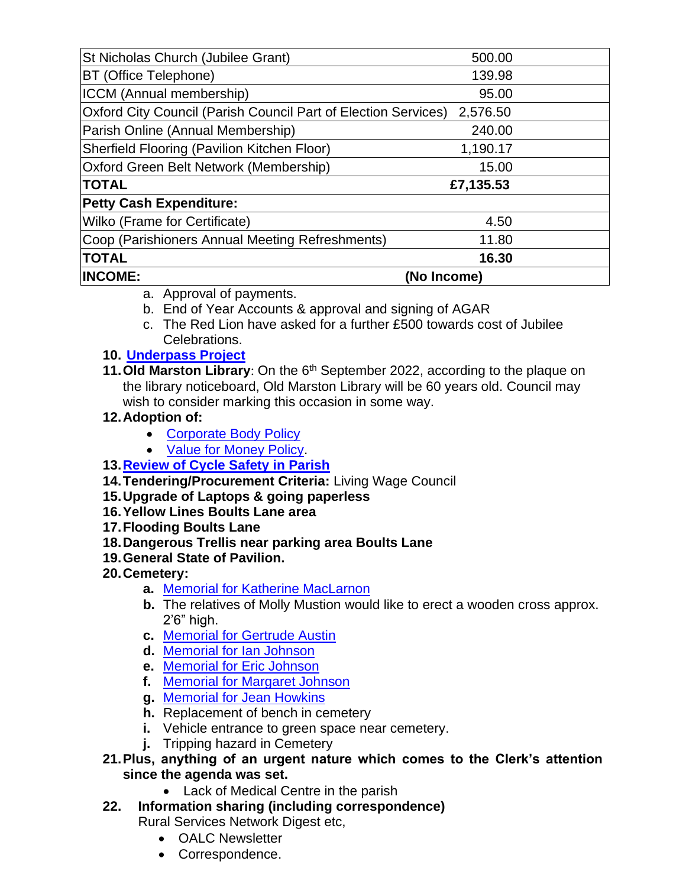| St Nicholas Church (Jubilee Grant)                             | 500.00      |  |
|----------------------------------------------------------------|-------------|--|
| <b>BT (Office Telephone)</b>                                   | 139.98      |  |
| ICCM (Annual membership)                                       | 95.00       |  |
| Oxford City Council (Parish Council Part of Election Services) | 2,576.50    |  |
| Parish Online (Annual Membership)                              | 240.00      |  |
| Sherfield Flooring (Pavilion Kitchen Floor)                    | 1,190.17    |  |
| Oxford Green Belt Network (Membership)                         | 15.00       |  |
| <b>TOTAL</b>                                                   | £7,135.53   |  |
| <b>Petty Cash Expenditure:</b>                                 |             |  |
| Wilko (Frame for Certificate)                                  | 4.50        |  |
| Coop (Parishioners Annual Meeting Refreshments)                | 11.80       |  |
| <b>TOTAL</b>                                                   | 16.30       |  |
| <b>INCOME:</b>                                                 | (No Income) |  |

- a. Approval of payments.
- b. End of Year Accounts & approval and signing of AGAR
- c. The Red Lion have asked for a further £500 towards cost of Jubilee Celebrations.

#### **10. Underpass Project**

**11. Old Marston Library**: On the 6<sup>th</sup> September 2022, according to the plaque on the library noticeboard, Old Marston Library will be 60 years old. Council may wish to consider marking this occasion in some way.

#### **12.Adoption of:**

- Corporate Body Policy
- Value for Money Policy.

### **13.Review of Cycle Safety in Parish**

**14.Tendering/Procurement Criteria:** Living Wage Council

#### **15.Upgrade of Laptops & going paperless**

- **16.Yellow Lines Boults Lane area**
- **17.Flooding Boults Lane**
- **18.Dangerous Trellis near parking area Boults Lane**
- **19.General State of Pavilion.**

### **20.Cemetery:**

- **a.** [Memorial for Katherine MacLarnon](file:///C:/Users/DH220/Desktop/OMPC%20June%202022/Katherine%20Macarlan.pdf)
- **b.** The relatives of Molly Mustion would like to erect a wooden cross approx. 2'6" high.
- **c.** [Memorial for Gertrude Austin](file:///C:/Users/DH220/Desktop/OMPC%20June%202022/Gertrude%20Austin.pdf)
- **d.** [Memorial for Ian Johnson](file:///C:/Users/DH220/Desktop/OMPC%20June%202022/Ian%20Johnson.pdf)
- **e.** [Memorial for Eric Johnson](file:///C:/Users/DH220/Desktop/OMPC%20June%202022/Eric%20Johnson.pdf)
- **f.** [Memorial for Margaret Johnson](file:///C:/Users/DH220/Desktop/OMPC%20June%202022/Margaret%20Johnson.pdf)
- **g.** [Memorial for Jean Howkins](file:///C:/Users/DH220/Desktop/OMPC%20June%202022/Jean%20Howkins.pdf)
- **h.** Replacement of bench in cemetery
- **i.** Vehicle entrance to green space near cemetery.
- **j.** Tripping hazard in Cemetery
- **21.Plus, anything of an urgent nature which comes to the Clerk's attention since the agenda was set.**
	- Lack of Medical Centre in the parish
- **22. Information sharing (including correspondence)**

Rural Services Network Digest etc,

- OALC Newsletter
- Correspondence.